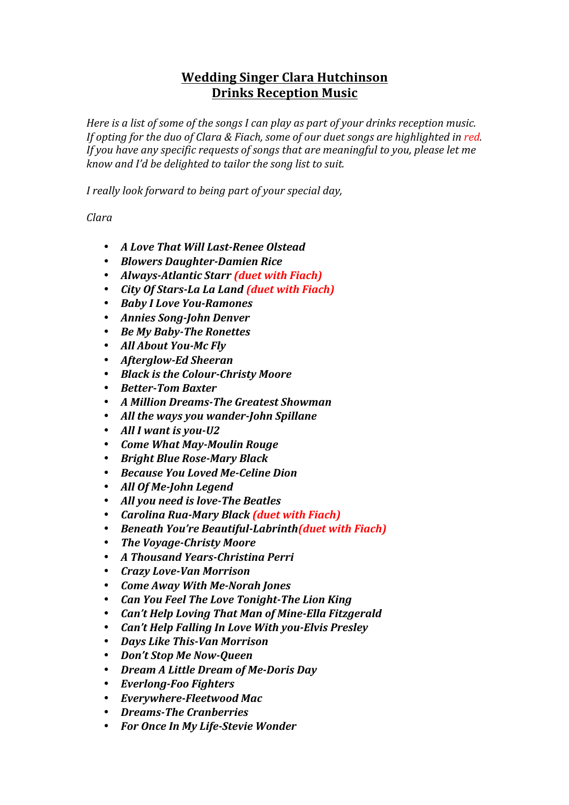## **Wedding Singer Clara Hutchinson Drinks Reception Music**

*Here* is a list of some of the songs I can play as part of your drinks reception music. *If opting for the duo of Clara & Fiach, some of our duet songs are highlighted in red. If* you have any specific requests of songs that are meaningful to you, please let me *know and I'd be delighted to tailor the song list to suit.* 

*I* really look forward to being part of your special day,

*Clara*

- *A Love That Will Last-Renee Olstead*
- *Blowers Daughter-Damien Rice*
- *Always-Atlantic Starr (duet with Fiach)*
- *City Of Stars-La La Land (duet with Fiach)*
- *Baby I Love You-Ramones*
- *Annies Song-John Denver*
- *Be My Baby-The Ronettes*
- *All About You-Mc Fly*
- *Afterglow-Ed Sheeran*
- *Black is the Colour-Christy Moore*
- *Better-Tom Baxter*
- *A Million Dreams-The Greatest Showman*
- All the ways you wander-John Spillane
- All I want is you-U2
- *Come What May-Moulin Rouge*
- *Bright Blue Rose-Mary Black*
- *Because You Loved Me-Celine Dion*
- *All Of Me-John Legend*
- *All you need is love-The Beatles*
- *Carolina Rua-Mary Black (duet with Fiach)*
- *Beneath You're Beautiful-Labrinth(duet with Fiach)*
- *The Voyage-Christy Moore*
- *A Thousand Years-Christina Perri*
- *Crazy Love-Van Morrison*
- *Come Away With Me-Norah Jones*
- *Can You Feel The Love Tonight-The Lion King*
- *Can't Help Loving That Man of Mine-Ella Fitzgerald*
- *Can't Help Falling In Love With you-Elvis Presley*
- *Days Like This-Van Morrison*
- **Don't Stop Me Now-Oueen**
- *Dream A Little Dream of Me-Doris Day*
- *Everlong-Foo Fighters*
- *Everywhere-Fleetwood Mac*
- *Dreams-The Cranberries*
- *For Once In My Life-Stevie Wonder*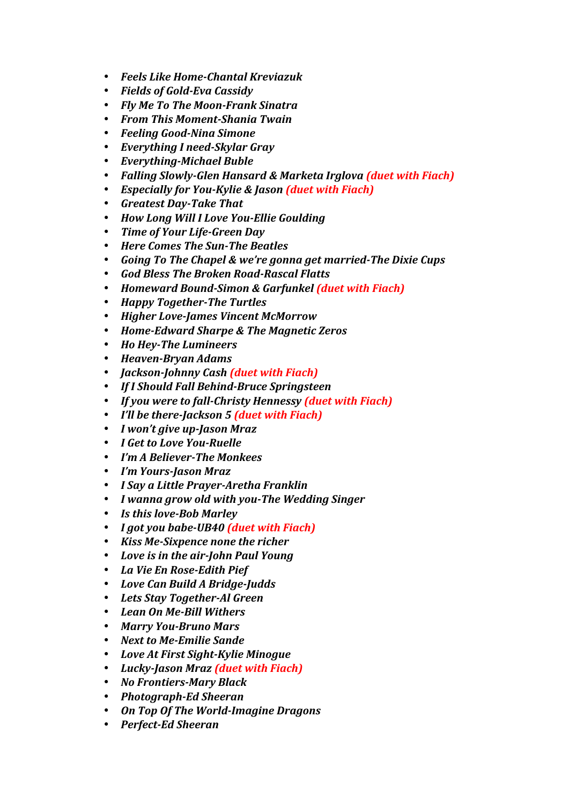- *Feels Like Home-Chantal Kreviazuk*
- *Fields of Gold-Eva Cassidy*
- *Fly Me To The Moon-Frank Sinatra*
- *From This Moment-Shania Twain*
- *Feeling Good-Nina Simone*
- *Everything I need-Skylar Gray*
- *Everything-Michael Buble*
- Falling Slowly-Glen Hansard & Marketa Irglova (duet with Fiach)
- *Especially for You-Kylie & Jason (duet with Fiach)*
- *Greatest Day-Take That*
- *How Long Will I Love You-Ellie Goulding*
- *Time of Your Life-Green Day*
- *Here Comes The Sun-The Beatles*
- *Going To The Chapel & we're gonna get married-The Dixie Cups*
- *God Bless The Broken Road-Rascal Flatts*
- *Homeward Bound-Simon & Garfunkel (duet with Fiach)*
- *Happy Together-The Turtles*
- *Higher Love-James Vincent McMorrow*
- *Home-Edward Sharpe & The Magnetic Zeros*
- *Ho Hey-The Lumineers*
- *Heaven-Bryan Adams*
- *Jackson-Johnny Cash (duet with Fiach)*
- *If I Should Fall Behind-Bruce Springsteen*
- If you were to fall-Christy Hennessy (duet with Fiach)
- *I'll be there-Jackson 5 (duet with Fiach)*
- *I won't give up-Jason Mraz*
- *I Get to Love You-Ruelle*
- *I'm A Believer-The Monkees*
- *I'm Yours-Jason Mraz*
- *I Say a Little Prayer-Aretha Franklin*
- *I wanna grow old with you-The Wedding Singer*
- Is this love-Bob Marley
- *I got you babe-UB40 (duet with Fiach)*
- *Kiss Me-Sixpence none the richer*
- Love is in the air-John Paul Young
- *La Vie En Rose-Edith Pief*
- *Love Can Build A Bridge-Judds*
- *Lets Stay Together-Al Green*
- *Lean On Me-Bill Withers*
- *Marry You-Bruno Mars*
- Next to Me-Emilie Sande
- *Love At First Sight-Kylie Minogue*
- Lucky-Jason Mraz (duet with Fiach)
- *No Frontiers-Mary Black*
- *Photograph-Ed Sheeran*
- *On Top Of The World-Imagine Dragons*
- *Perfect-Ed Sheeran*